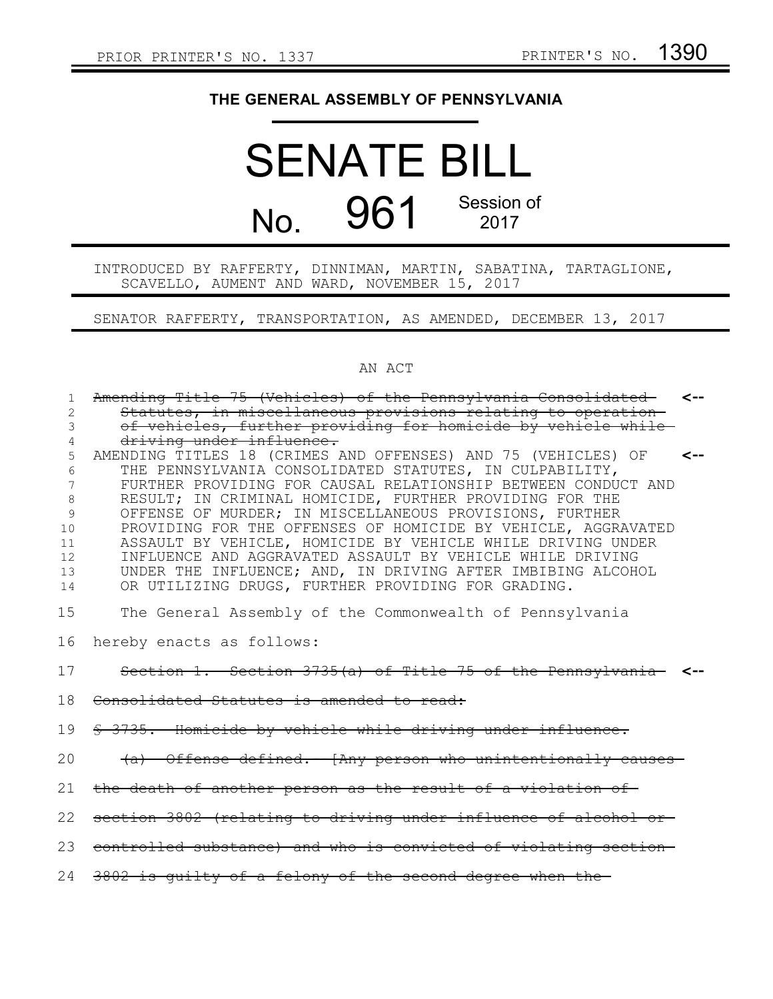## **THE GENERAL ASSEMBLY OF PENNSYLVANIA**

## SENATE BILL No. 961 Session of 2017

INTRODUCED BY RAFFERTY, DINNIMAN, MARTIN, SABATINA, TARTAGLIONE, SCAVELLO, AUMENT AND WARD, NOVEMBER 15, 2017

SENATOR RAFFERTY, TRANSPORTATION, AS AMENDED, DECEMBER 13, 2017

## AN ACT

| 1              | Amending Title 75 (Vehicles) of the Pennsylvania Consolidated <--             |  |
|----------------|-------------------------------------------------------------------------------|--|
| $\overline{c}$ | Statutes, in miscellaneous provisions relating to operation-                  |  |
| 3              | of vehicles, further providing for homicide by vehicle while                  |  |
| 4              | driving under influence.                                                      |  |
| 5              | AMENDING TITLES 18 (CRIMES AND OFFENSES) AND 75 (VEHICLES) OF<br>$\leftarrow$ |  |
| 6              | THE PENNSYLVANIA CONSOLIDATED STATUTES, IN CULPABILITY,                       |  |
| 7              | FURTHER PROVIDING FOR CAUSAL RELATIONSHIP BETWEEN CONDUCT AND                 |  |
| 8              | RESULT; IN CRIMINAL HOMICIDE, FURTHER PROVIDING FOR THE                       |  |
| 9              | OFFENSE OF MURDER; IN MISCELLANEOUS PROVISIONS, FURTHER                       |  |
| 10             | PROVIDING FOR THE OFFENSES OF HOMICIDE BY VEHICLE, AGGRAVATED                 |  |
| 11             | ASSAULT BY VEHICLE, HOMICIDE BY VEHICLE WHILE DRIVING UNDER                   |  |
| 12             | INFLUENCE AND AGGRAVATED ASSAULT BY VEHICLE WHILE DRIVING                     |  |
| 13             | UNDER THE INFLUENCE; AND, IN DRIVING AFTER IMBIBING ALCOHOL                   |  |
| 14             | OR UTILIZING DRUGS, FURTHER PROVIDING FOR GRADING.                            |  |
| 15             | The General Assembly of the Commonwealth of Pennsylvania                      |  |
| 16             | hereby enacts as follows:                                                     |  |
| 17             | Section 1. Section 3735(a) of Title 75 of the Pennsylvania <-                 |  |
| 18             | Consolidated Statutes is amended to read:                                     |  |
| 19             | § 3735. Homicide by vehicle while driving under influence.                    |  |
| 20             | (a) Offense defined. [Any person who unintentionally causes-                  |  |
| 21             | the death of another person as the result of a violation of-                  |  |
| 22             | section 3802 (relating to driving under influence of alcohol or-              |  |
| 23             | controlled substance) and who is convicted of violating section-              |  |
| 24             | 3802 is quilty of a felony of the second degree when the                      |  |
|                |                                                                               |  |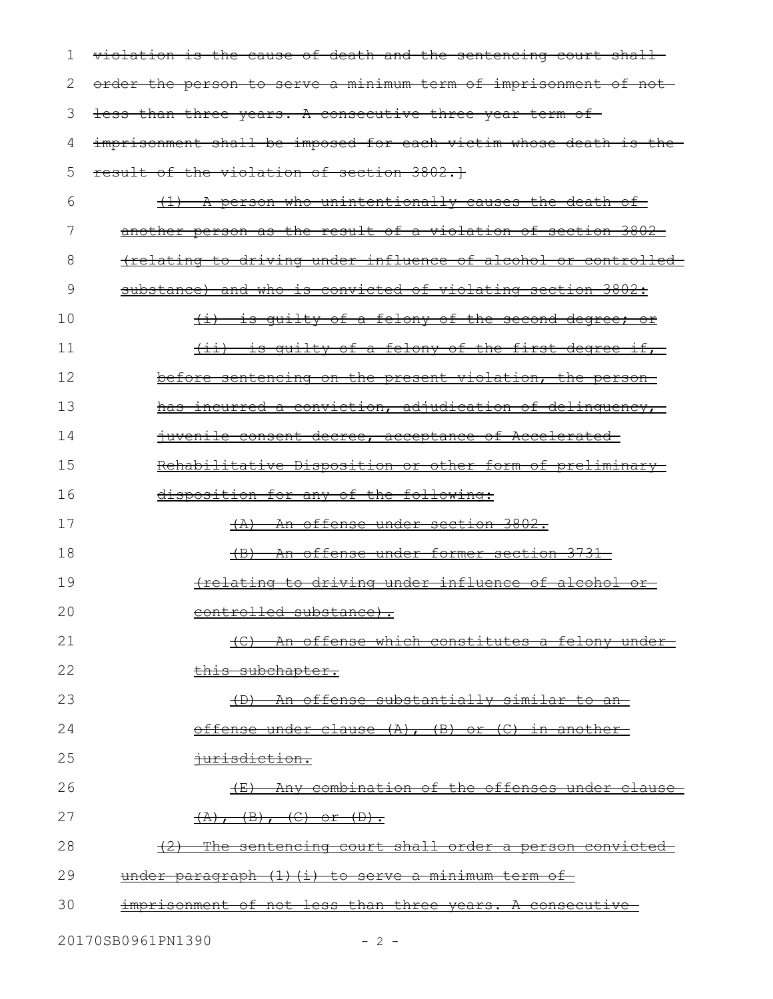| 1  | violation is the cause of death and the sentencing court shall-  |
|----|------------------------------------------------------------------|
| 2  | order the person to serve a minimum term of imprisonment of not- |
| 3  | less than three years. A consecutive three year term of          |
| 4  | imprisonment shall be imposed for each victim whose death is the |
| 5  | result of the violation of section 3802.1                        |
| 6  | (1) A person who unintentionally causes the death of             |
| 7  | another person as the result of a violation of section 3802      |
| 8  | frelating to driving under influence of alcohol or controlled    |
| 9  | substance) and who is convicted of violating section 3802:       |
| 10 | <u>(i) is quilty of a felony of the second degree; or</u>        |
| 11 | <u>(ii) is quilty of a felony of the first degree if, </u>       |
| 12 | before sentencing on the present violation, the person-          |
| 13 | has incurred a conviction, adjudication of delinquency,          |
| 14 | juvenile consent decree, acceptance of Accelerated               |
| 15 | <u>Rehabilitative Disposition or other form of preliminary-</u>  |
| 16 | disposition for any of the following:                            |
| 17 | (A) An offense under section 3802.                               |
| 18 | (B) An offense under former section 3731-                        |
| 19 | frelating to driving under influence of alcohol or               |
| 20 | controlled substance).                                           |
| 21 | An offense which constitutes a felony under<br>$+e$              |
| 22 | this subchapter.                                                 |
| 23 | An offense substantially similar to an-                          |
| 24 | offense under clause (A), (B) or (C) in another                  |
| 25 | iurisdiction.                                                    |
| 26 | (E) Any combination of the offenses under clause                 |
| 27 | $(A), (B), (C)$ or $(D).$                                        |
| 28 | The sentencing court shall order a person convicted              |
| 29 | under paragraph (1) (i) to serve a minimum term of               |
| 30 | imprisonment of not less than three years. A consecutive         |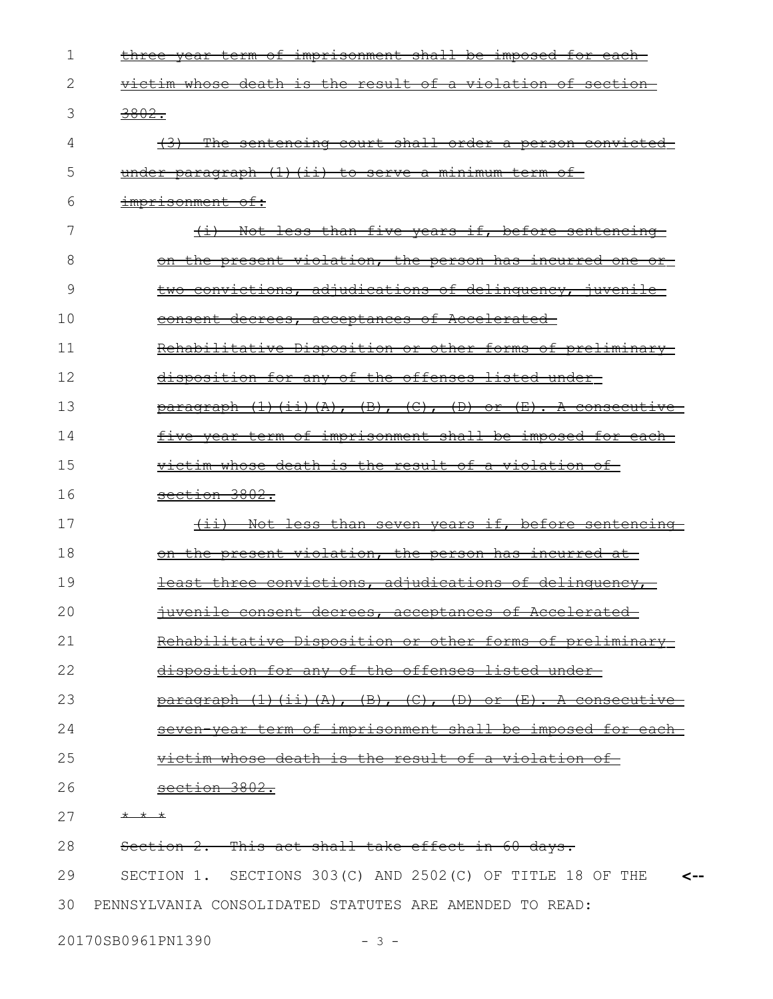| 1  | three year term of imprisonment shall be imposed for each                                    |
|----|----------------------------------------------------------------------------------------------|
| 2  | victim whose death is the result of a violation of section                                   |
| 3  | 3802.                                                                                        |
| 4  | $+3+$<br>The sentencing court shall order a person convicted                                 |
| 5  | under paragraph (1) (ii) to serve a minimum term of                                          |
| 6  | imprisonment of:                                                                             |
| 7  | Not less than five years if, before sentencing<br>$\overline{+i}$                            |
| 8  | on the present violation, the person has incurred one<br><del>or</del> —                     |
| 9  | two convictions, adjudications of delinquency, juvenile                                      |
| 10 | decrees, acceptances of Accelerated<br><del>consent-</del>                                   |
| 11 | Rehabilitative Disposition or other forms of preliminary                                     |
| 12 | disposition for any of the offenses listed under                                             |
| 13 | $\frac{\alpha}{2}$ $\frac{\alpha}{\alpha}$ (1) (ii) (A), (B), (C), (D) or (E). A consecutive |
| 14 | five year term of imprisonment shall be imposed for each-                                    |
| 15 | victim whose death is the result of a violation of-                                          |
| 16 | section 3802.                                                                                |
| 17 | Not less than seven years if, before sentencing<br>$\leftarrow$                              |
| 18 | on the present violation, the person has incurred at                                         |
| 19 | convictions, adjudications of delinquency,<br><del>least</del><br><del>three</del>           |
| 20 | <del>crees, acc</del><br><del>ptances:</del>                                                 |
| 21 | Rehabilitative Disposition or other forms of preliminary                                     |
| 22 | disposition for any of the offenses listed under                                             |
| 23 | $\frac{\text{bargraph}}{\text{h}}$ (1) (ii) (A), (B), (C), (D) or (E). A consecutive         |
| 24 | term of imprisonment shall be imposed for each                                               |
| 25 | victim whose death is the result of a violation of                                           |
| 26 | section 3802.                                                                                |
| 27 | * * *                                                                                        |
| 28 | Section 2. This act shall take effect in 60 days.                                            |
| 29 | SECTION 1. SECTIONS 303(C) AND 2502(C) OF TITLE 18 OF THE<br><--                             |
| 30 | PENNSYLVANIA CONSOLIDATED STATUTES ARE AMENDED TO READ:                                      |

20170SB0961PN1390 - 3 -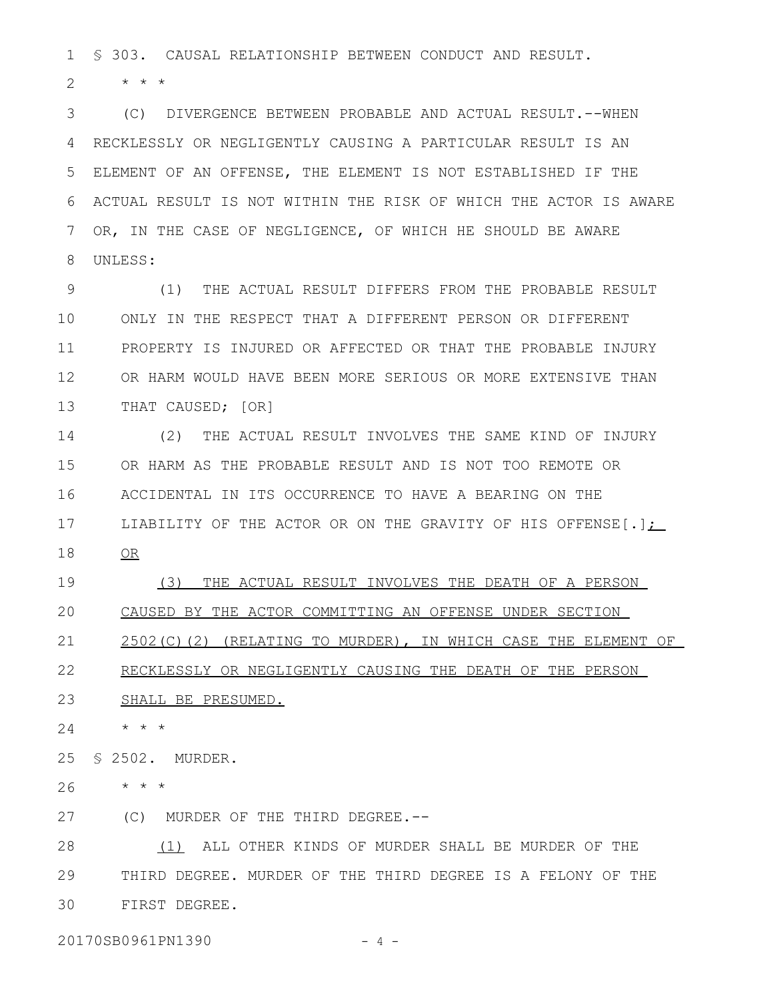§ 303. CAUSAL RELATIONSHIP BETWEEN CONDUCT AND RESULT. 1

\* \* \* 2

(C) DIVERGENCE BETWEEN PROBABLE AND ACTUAL RESULT.--WHEN 3 RECKLESSLY OR NEGLIGENTLY CAUSING A PARTICULAR RESULT IS AN ELEMENT OF AN OFFENSE, THE ELEMENT IS NOT ESTABLISHED IF THE ACTUAL RESULT IS NOT WITHIN THE RISK OF WHICH THE ACTOR IS AWARE OR, IN THE CASE OF NEGLIGENCE, OF WHICH HE SHOULD BE AWARE UNLESS: 4 5 6 7 8

(1) THE ACTUAL RESULT DIFFERS FROM THE PROBABLE RESULT ONLY IN THE RESPECT THAT A DIFFERENT PERSON OR DIFFERENT PROPERTY IS INJURED OR AFFECTED OR THAT THE PROBABLE INJURY OR HARM WOULD HAVE BEEN MORE SERIOUS OR MORE EXTENSIVE THAN THAT CAUSED; [OR] 9 10 11 12 13

(2) THE ACTUAL RESULT INVOLVES THE SAME KIND OF INJURY OR HARM AS THE PROBABLE RESULT AND IS NOT TOO REMOTE OR ACCIDENTAL IN ITS OCCURRENCE TO HAVE A BEARING ON THE LIABILITY OF THE ACTOR OR ON THE GRAVITY OF HIS OFFENSE[.]; OR 14 15 16 17 18

(3) THE ACTUAL RESULT INVOLVES THE DEATH OF A PERSON CAUSED BY THE ACTOR COMMITTING AN OFFENSE UNDER SECTION 2502(C)(2) (RELATING TO MURDER), IN WHICH CASE THE ELEMENT OF 19 20 21

RECKLESSLY OR NEGLIGENTLY CAUSING THE DEATH OF THE PERSON 22

SHALL BE PRESUMED. 23

\* \* \* 24

§ 2502. MURDER. 25

\* \* \* 26

(C) MURDER OF THE THIRD DEGREE.-- 27

(1) ALL OTHER KINDS OF MURDER SHALL BE MURDER OF THE THIRD DEGREE. MURDER OF THE THIRD DEGREE IS A FELONY OF THE FIRST DEGREE. 28 29 30

20170SB0961PN1390 - 4 -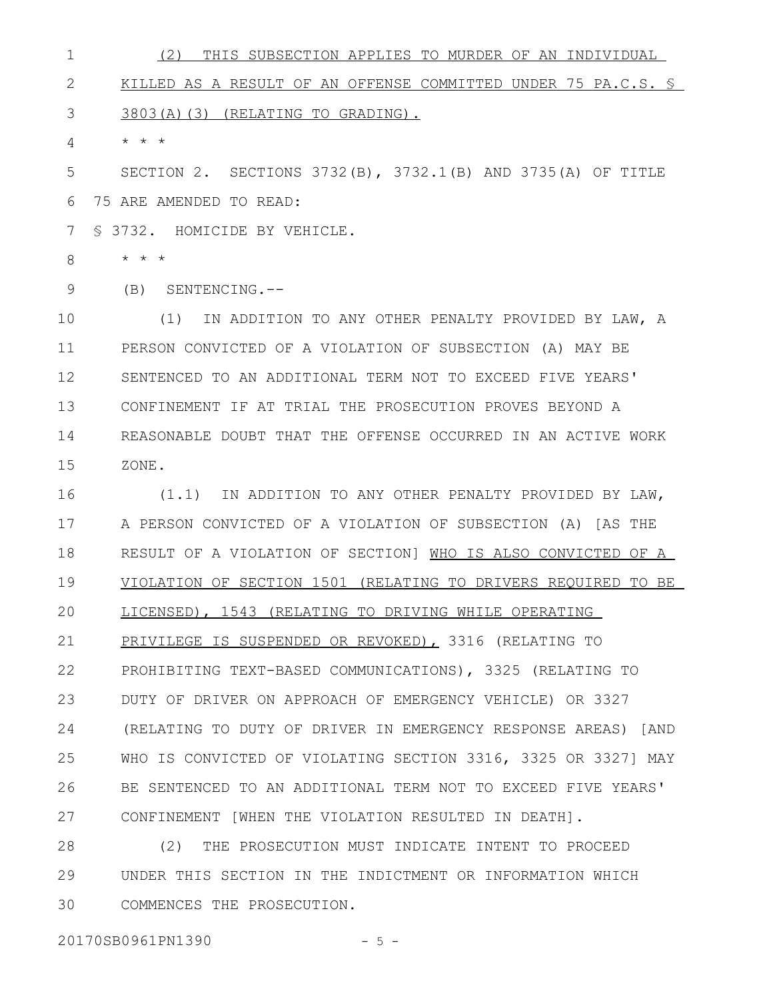(2) THIS SUBSECTION APPLIES TO MURDER OF AN INDIVIDUAL KILLED AS A RESULT OF AN OFFENSE COMMITTED UNDER 75 PA.C.S. § 3803(A)(3) (RELATING TO GRADING). \* \* \* 1 2 3 4

SECTION 2. SECTIONS 3732(B), 3732.1(B) AND 3735(A) OF TITLE 75 ARE AMENDED TO READ: 5 6

§ 3732. HOMICIDE BY VEHICLE. 7

\* \* \* 8

(B) SENTENCING.-- 9

(1) IN ADDITION TO ANY OTHER PENALTY PROVIDED BY LAW, A PERSON CONVICTED OF A VIOLATION OF SUBSECTION (A) MAY BE SENTENCED TO AN ADDITIONAL TERM NOT TO EXCEED FIVE YEARS' CONFINEMENT IF AT TRIAL THE PROSECUTION PROVES BEYOND A REASONABLE DOUBT THAT THE OFFENSE OCCURRED IN AN ACTIVE WORK ZONE. 10 11 12 13 14 15

(1.1) IN ADDITION TO ANY OTHER PENALTY PROVIDED BY LAW, A PERSON CONVICTED OF A VIOLATION OF SUBSECTION (A) [AS THE RESULT OF A VIOLATION OF SECTION] WHO IS ALSO CONVICTED OF A VIOLATION OF SECTION 1501 (RELATING TO DRIVERS REQUIRED TO BE LICENSED), 1543 (RELATING TO DRIVING WHILE OPERATING PRIVILEGE IS SUSPENDED OR REVOKED), 3316 (RELATING TO PROHIBITING TEXT-BASED COMMUNICATIONS), 3325 (RELATING TO DUTY OF DRIVER ON APPROACH OF EMERGENCY VEHICLE) OR 3327 (RELATING TO DUTY OF DRIVER IN EMERGENCY RESPONSE AREAS) [AND WHO IS CONVICTED OF VIOLATING SECTION 3316, 3325 OR 3327] MAY BE SENTENCED TO AN ADDITIONAL TERM NOT TO EXCEED FIVE YEARS' CONFINEMENT [WHEN THE VIOLATION RESULTED IN DEATH]. 16 17 18 19 20 21 22 23 24 25 26 27

(2) THE PROSECUTION MUST INDICATE INTENT TO PROCEED UNDER THIS SECTION IN THE INDICTMENT OR INFORMATION WHICH COMMENCES THE PROSECUTION. 28 29 30

20170SB0961PN1390 - 5 -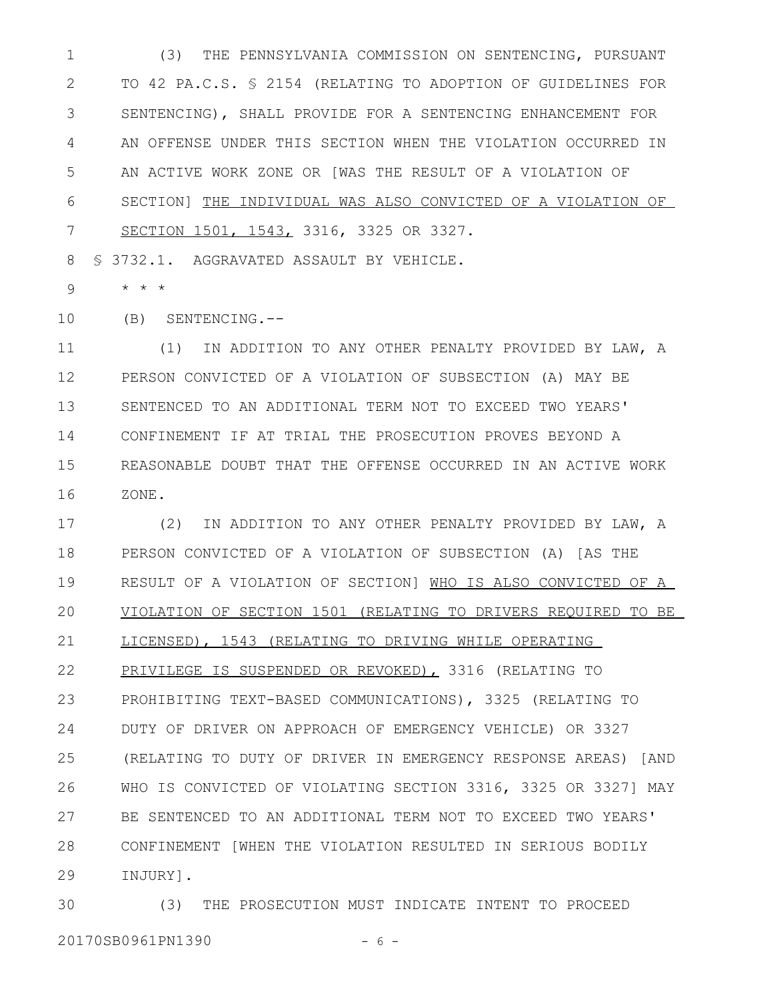(3) THE PENNSYLVANIA COMMISSION ON SENTENCING, PURSUANT TO 42 PA.C.S. § 2154 (RELATING TO ADOPTION OF GUIDELINES FOR SENTENCING), SHALL PROVIDE FOR A SENTENCING ENHANCEMENT FOR AN OFFENSE UNDER THIS SECTION WHEN THE VIOLATION OCCURRED IN AN ACTIVE WORK ZONE OR [WAS THE RESULT OF A VIOLATION OF SECTION] THE INDIVIDUAL WAS ALSO CONVICTED OF A VIOLATION OF SECTION 1501, 1543, 3316, 3325 OR 3327. 1 2 3 4 5 6 7

§ 3732.1. AGGRAVATED ASSAULT BY VEHICLE. 8

\* \* \* 9

(B) SENTENCING.-- 10

(1) IN ADDITION TO ANY OTHER PENALTY PROVIDED BY LAW, A PERSON CONVICTED OF A VIOLATION OF SUBSECTION (A) MAY BE SENTENCED TO AN ADDITIONAL TERM NOT TO EXCEED TWO YEARS' CONFINEMENT IF AT TRIAL THE PROSECUTION PROVES BEYOND A REASONABLE DOUBT THAT THE OFFENSE OCCURRED IN AN ACTIVE WORK ZONE. 11 12 13 14 15 16

(2) IN ADDITION TO ANY OTHER PENALTY PROVIDED BY LAW, A PERSON CONVICTED OF A VIOLATION OF SUBSECTION (A) [AS THE RESULT OF A VIOLATION OF SECTION] WHO IS ALSO CONVICTED OF A VIOLATION OF SECTION 1501 (RELATING TO DRIVERS REQUIRED TO BE LICENSED), 1543 (RELATING TO DRIVING WHILE OPERATING PRIVILEGE IS SUSPENDED OR REVOKED), 3316 (RELATING TO PROHIBITING TEXT-BASED COMMUNICATIONS), 3325 (RELATING TO DUTY OF DRIVER ON APPROACH OF EMERGENCY VEHICLE) OR 3327 (RELATING TO DUTY OF DRIVER IN EMERGENCY RESPONSE AREAS) [AND WHO IS CONVICTED OF VIOLATING SECTION 3316, 3325 OR 3327] MAY BE SENTENCED TO AN ADDITIONAL TERM NOT TO EXCEED TWO YEARS' CONFINEMENT [WHEN THE VIOLATION RESULTED IN SERIOUS BODILY INJURY]. 17 18 19 20 21 22 23 24 25 26 27 28 29

(3) THE PROSECUTION MUST INDICATE INTENT TO PROCEED 20170SB0961PN1390 - 6 -30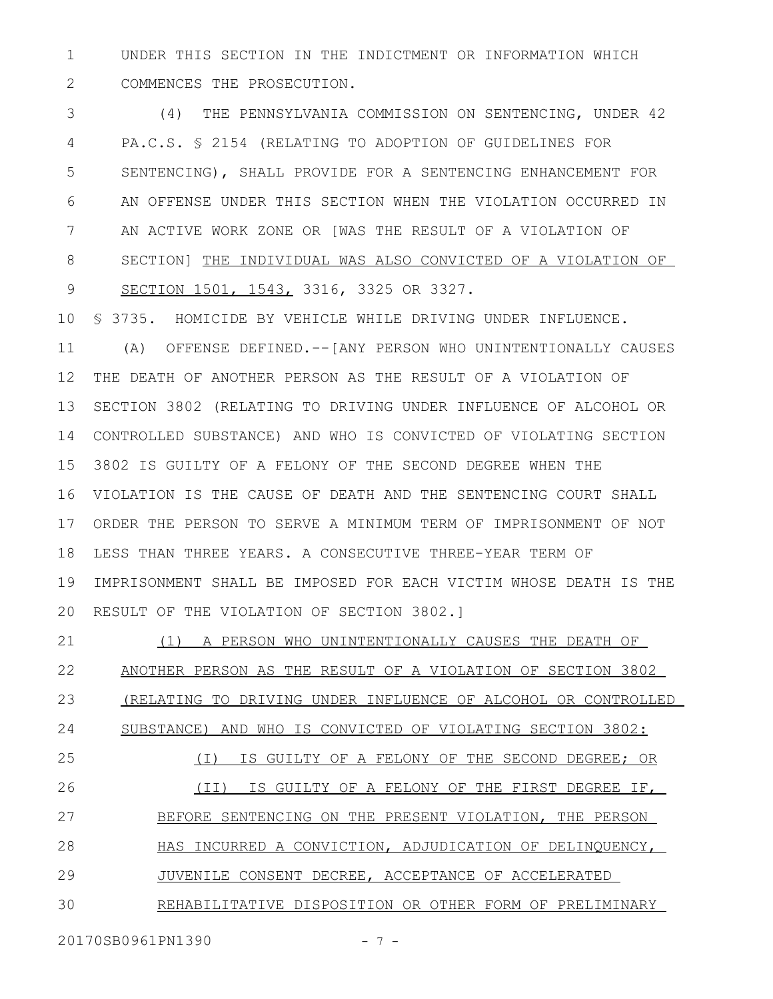UNDER THIS SECTION IN THE INDICTMENT OR INFORMATION WHICH COMMENCES THE PROSECUTION. 1 2

(4) THE PENNSYLVANIA COMMISSION ON SENTENCING, UNDER 42 PA.C.S. § 2154 (RELATING TO ADOPTION OF GUIDELINES FOR SENTENCING), SHALL PROVIDE FOR A SENTENCING ENHANCEMENT FOR AN OFFENSE UNDER THIS SECTION WHEN THE VIOLATION OCCURRED IN AN ACTIVE WORK ZONE OR [WAS THE RESULT OF A VIOLATION OF SECTION] THE INDIVIDUAL WAS ALSO CONVICTED OF A VIOLATION OF SECTION 1501, 1543, 3316, 3325 OR 3327. 3 4 5 6 7 8 9

§ 3735. HOMICIDE BY VEHICLE WHILE DRIVING UNDER INFLUENCE. (A) OFFENSE DEFINED.--[ANY PERSON WHO UNINTENTIONALLY CAUSES THE DEATH OF ANOTHER PERSON AS THE RESULT OF A VIOLATION OF SECTION 3802 (RELATING TO DRIVING UNDER INFLUENCE OF ALCOHOL OR CONTROLLED SUBSTANCE) AND WHO IS CONVICTED OF VIOLATING SECTION 3802 IS GUILTY OF A FELONY OF THE SECOND DEGREE WHEN THE VIOLATION IS THE CAUSE OF DEATH AND THE SENTENCING COURT SHALL ORDER THE PERSON TO SERVE A MINIMUM TERM OF IMPRISONMENT OF NOT LESS THAN THREE YEARS. A CONSECUTIVE THREE-YEAR TERM OF IMPRISONMENT SHALL BE IMPOSED FOR EACH VICTIM WHOSE DEATH IS THE RESULT OF THE VIOLATION OF SECTION 3802.] 10 11 12 13 14 15 16 17 18 19 20

(1) A PERSON WHO UNINTENTIONALLY CAUSES THE DEATH OF ANOTHER PERSON AS THE RESULT OF A VIOLATION OF SECTION 3802 (RELATING TO DRIVING UNDER INFLUENCE OF ALCOHOL OR CONTROLLED SUBSTANCE) AND WHO IS CONVICTED OF VIOLATING SECTION 3802: (I) IS GUILTY OF A FELONY OF THE SECOND DEGREE; OR (II) IS GUILTY OF A FELONY OF THE FIRST DEGREE IF, BEFORE SENTENCING ON THE PRESENT VIOLATION, THE PERSON HAS INCURRED A CONVICTION, ADJUDICATION OF DELINQUENCY, JUVENILE CONSENT DECREE, ACCEPTANCE OF ACCELERATED REHABILITATIVE DISPOSITION OR OTHER FORM OF PRELIMINARY 21 22 23 24 25 26 27 28 29 30

20170SB0961PN1390 - 7 -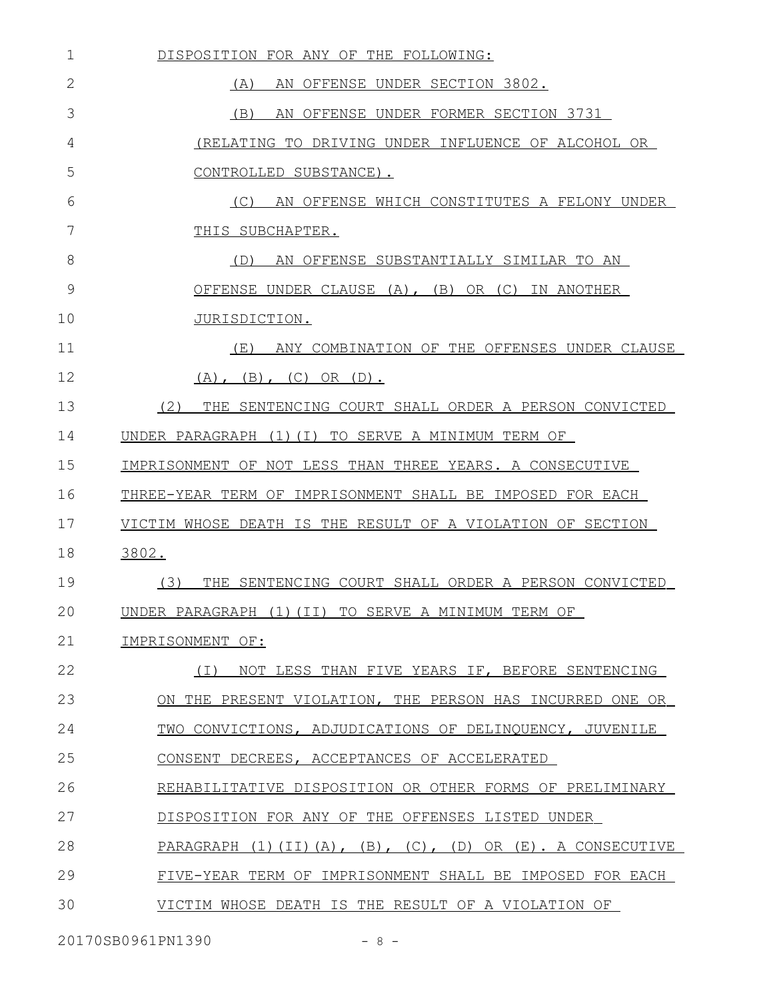| 1  | DISPOSITION FOR ANY OF THE FOLLOWING:                                         |
|----|-------------------------------------------------------------------------------|
| 2  | AN OFFENSE UNDER SECTION 3802.<br>(A)                                         |
| 3  | (B)<br>AN OFFENSE UNDER FORMER SECTION 3731                                   |
| 4  | (RELATING TO DRIVING UNDER INFLUENCE OF ALCOHOL OR                            |
| 5  | CONTROLLED SUBSTANCE).                                                        |
| 6  | AN OFFENSE WHICH CONSTITUTES A FELONY UNDER<br>(C)                            |
| 7  | THIS SUBCHAPTER.                                                              |
| 8  | AN OFFENSE SUBSTANTIALLY SIMILAR TO AN<br>(D)                                 |
| 9  | OR (C) IN ANOTHER<br>OFFENSE UNDER CLAUSE (A), (B)                            |
| 10 | JURISDICTION.                                                                 |
| 11 | ANY COMBINATION OF THE OFFENSES UNDER CLAUSE<br>(E)                           |
| 12 | $(B)$ , $(C)$<br>OR $(D)$ .<br>$(A)$ ,                                        |
| 13 | (2)<br>THE SENTENCING COURT SHALL ORDER A PERSON CONVICTED                    |
| 14 | UNDER PARAGRAPH<br>(1)(I) TO SERVE A MINIMUM TERM OF                          |
| 15 | IMPRISONMENT OF NOT LESS THAN THREE YEARS. A CONSECUTIVE                      |
| 16 | THREE-YEAR TERM OF IMPRISONMENT SHALL BE IMPOSED FOR EACH                     |
| 17 | VICTIM WHOSE DEATH IS THE RESULT OF A VIOLATION OF SECTION                    |
| 18 | 3802.                                                                         |
| 19 | (3)<br>THE SENTENCING COURT SHALL ORDER A PERSON CONVICTED                    |
| 20 | UNDER PARAGRAPH (1) (II) TO SERVE A MINIMUM TERM OF                           |
| 21 | IMPRISONMENT OF:                                                              |
| 22 | NOT LESS THAN FIVE YEARS IF, BEFORE SENTENCING<br>( I )                       |
| 23 | ON THE PRESENT VIOLATION, THE PERSON HAS INCURRED ONE OR                      |
| 24 | TWO CONVICTIONS, ADJUDICATIONS OF DELINQUENCY, JUVENILE                       |
| 25 | CONSENT DECREES, ACCEPTANCES OF ACCELERATED                                   |
| 26 | REHABILITATIVE DISPOSITION OR OTHER FORMS OF PRELIMINARY                      |
| 27 | DISPOSITION FOR ANY OF THE OFFENSES LISTED UNDER                              |
| 28 | PARAGRAPH $(1)$ $(II)$ $(A)$ , $(B)$ , $(C)$ , $(D)$ OR $(E)$ . A CONSECUTIVE |
| 29 | FIVE-YEAR TERM OF IMPRISONMENT SHALL BE IMPOSED FOR EACH                      |
| 30 | VICTIM WHOSE DEATH IS THE RESULT OF A VIOLATION OF                            |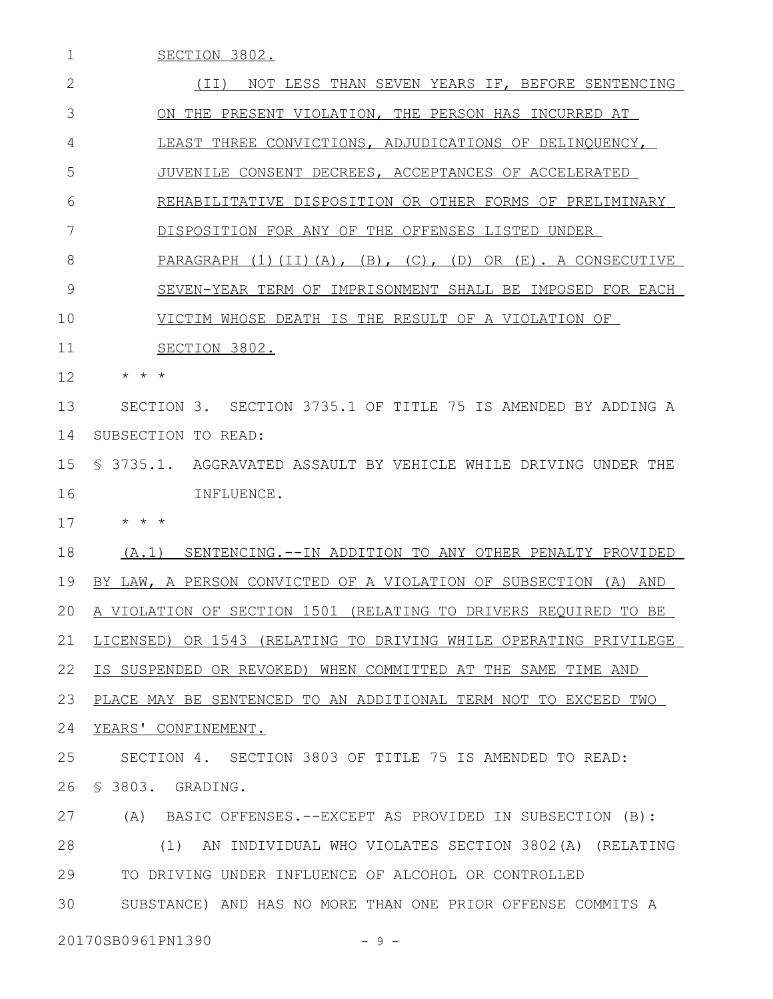SECTION 3802. (II) NOT LESS THAN SEVEN YEARS IF, BEFORE SENTENCING ON THE PRESENT VIOLATION, THE PERSON HAS INCURRED AT LEAST THREE CONVICTIONS, ADJUDICATIONS OF DELINQUENCY, JUVENILE CONSENT DECREES, ACCEPTANCES OF ACCELERATED REHABILITATIVE DISPOSITION OR OTHER FORMS OF PRELIMINARY DISPOSITION FOR ANY OF THE OFFENSES LISTED UNDER PARAGRAPH (1)(II)(A), (B), (C), (D) OR (E). A CONSECUTIVE SEVEN-YEAR TERM OF IMPRISONMENT SHALL BE IMPOSED FOR EACH VICTIM WHOSE DEATH IS THE RESULT OF A VIOLATION OF SECTION 3802. \* \* \* SECTION 3. SECTION 3735.1 OF TITLE 75 IS AMENDED BY ADDING A 14 SUBSECTION TO READ: § 3735.1. AGGRAVATED ASSAULT BY VEHICLE WHILE DRIVING UNDER THE 15 INFLUENCE. \* \* \* (A.1) SENTENCING.--IN ADDITION TO ANY OTHER PENALTY PROVIDED BY LAW, A PERSON CONVICTED OF A VIOLATION OF SUBSECTION (A) AND 20 A VIOLATION OF SECTION 1501 (RELATING TO DRIVERS REQUIRED TO BE 21 LICENSED) OR 1543 (RELATING TO DRIVING WHILE OPERATING PRIVILEGE IS SUSPENDED OR REVOKED) WHEN COMMITTED AT THE SAME TIME AND PLACE MAY BE SENTENCED TO AN ADDITIONAL TERM NOT TO EXCEED TWO 24 YEARS' CONFINEMENT. SECTION 4. SECTION 3803 OF TITLE 75 IS AMENDED TO READ: § 3803. GRADING. (A) BASIC OFFENSES.--EXCEPT AS PROVIDED IN SUBSECTION (B): (1) AN INDIVIDUAL WHO VIOLATES SECTION 3802(A) (RELATING TO DRIVING UNDER INFLUENCE OF ALCOHOL OR CONTROLLED SUBSTANCE) AND HAS NO MORE THAN ONE PRIOR OFFENSE COMMITS A 1 2 3 4 5 6 7 8 9 10 11 12 13 16 17 18 19 22 23 25 26 27 28 29 30

20170SB0961PN1390 - 9 -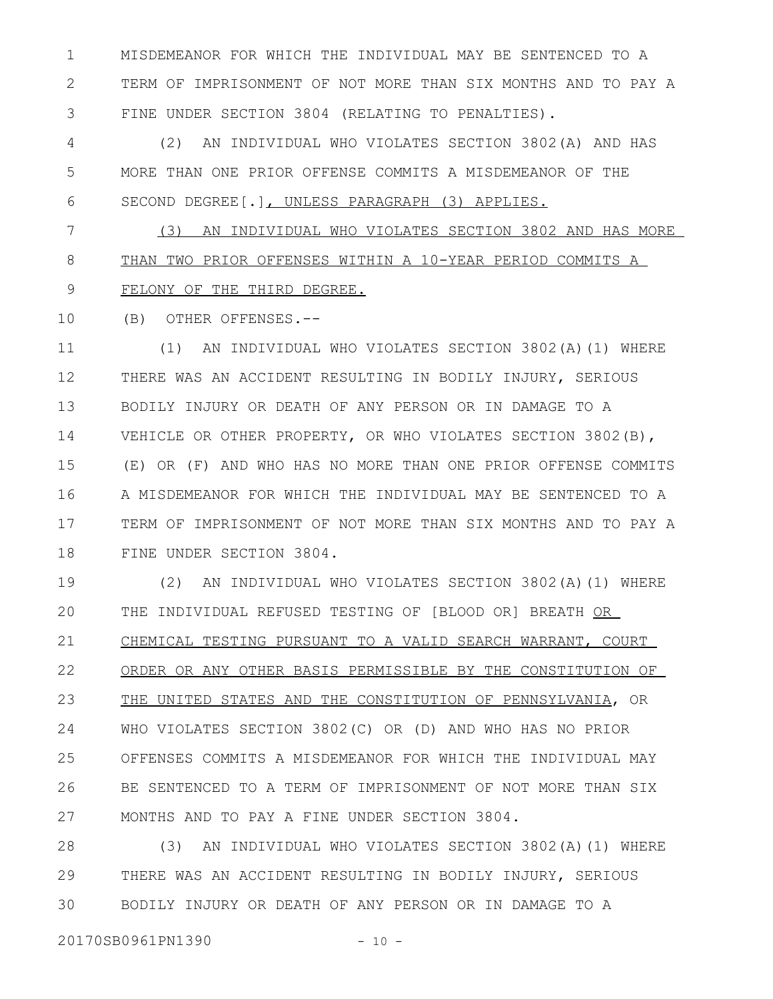MISDEMEANOR FOR WHICH THE INDIVIDUAL MAY BE SENTENCED TO A TERM OF IMPRISONMENT OF NOT MORE THAN SIX MONTHS AND TO PAY A FINE UNDER SECTION 3804 (RELATING TO PENALTIES). 1 2 3

(2) AN INDIVIDUAL WHO VIOLATES SECTION 3802(A) AND HAS MORE THAN ONE PRIOR OFFENSE COMMITS A MISDEMEANOR OF THE SECOND DEGREE[.], UNLESS PARAGRAPH (3) APPLIES. 4 5 6

(3) AN INDIVIDUAL WHO VIOLATES SECTION 3802 AND HAS MORE THAN TWO PRIOR OFFENSES WITHIN A 10-YEAR PERIOD COMMITS A FELONY OF THE THIRD DEGREE. 7 8 9

(B) OTHER OFFENSES.-- 10

(1) AN INDIVIDUAL WHO VIOLATES SECTION 3802(A)(1) WHERE THERE WAS AN ACCIDENT RESULTING IN BODILY INJURY, SERIOUS BODILY INJURY OR DEATH OF ANY PERSON OR IN DAMAGE TO A VEHICLE OR OTHER PROPERTY, OR WHO VIOLATES SECTION 3802(B), (E) OR (F) AND WHO HAS NO MORE THAN ONE PRIOR OFFENSE COMMITS A MISDEMEANOR FOR WHICH THE INDIVIDUAL MAY BE SENTENCED TO A TERM OF IMPRISONMENT OF NOT MORE THAN SIX MONTHS AND TO PAY A FINE UNDER SECTION 3804. 11 12 13 14 15 16 17 18

(2) AN INDIVIDUAL WHO VIOLATES SECTION 3802(A)(1) WHERE THE INDIVIDUAL REFUSED TESTING OF [BLOOD OR] BREATH OR CHEMICAL TESTING PURSUANT TO A VALID SEARCH WARRANT, COURT ORDER OR ANY OTHER BASIS PERMISSIBLE BY THE CONSTITUTION OF THE UNITED STATES AND THE CONSTITUTION OF PENNSYLVANIA, OR WHO VIOLATES SECTION 3802(C) OR (D) AND WHO HAS NO PRIOR OFFENSES COMMITS A MISDEMEANOR FOR WHICH THE INDIVIDUAL MAY BE SENTENCED TO A TERM OF IMPRISONMENT OF NOT MORE THAN SIX MONTHS AND TO PAY A FINE UNDER SECTION 3804. 19 20 21 22 23 24 25 26 27

(3) AN INDIVIDUAL WHO VIOLATES SECTION 3802(A)(1) WHERE THERE WAS AN ACCIDENT RESULTING IN BODILY INJURY, SERIOUS BODILY INJURY OR DEATH OF ANY PERSON OR IN DAMAGE TO A 28 29 30